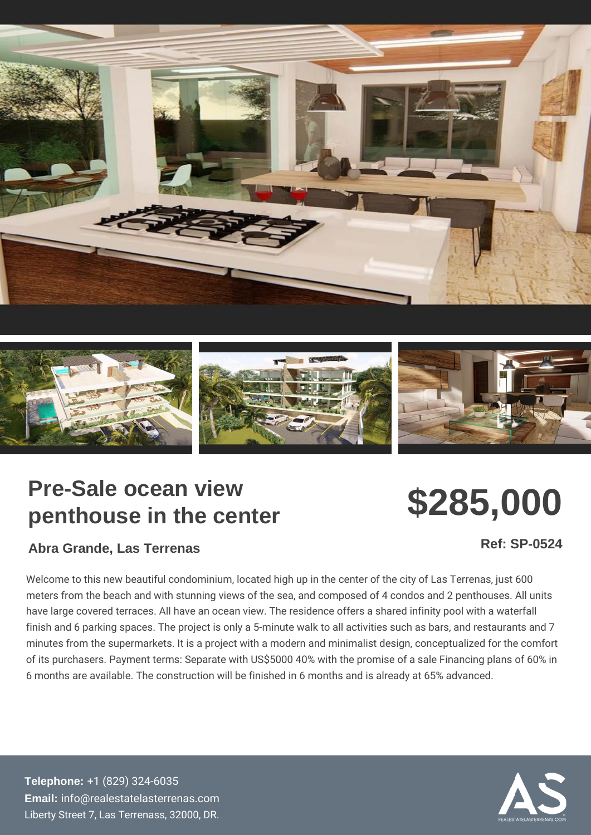## Pre-Sale ocean view penthouse in the center

## \$285,000

Abra Grande, Las Terrenas

Ref: SP-0524

Welcome to this new beautiful condominium, located high up in the center o meters from the beach and with stunning views of the sea, and composed of have large covered terraces. All have an ocean view. The residence offers a finish and 6 parking spaces. The project is only a 5-minute walk to all activ minutes from the supermarkets. It is a project with a modern and minimalist of its purchasers. Payment terms: Separate with US\$5000 40% with the pror 6 months are available. The construction will be finished in 6 months and is

Telephone: [+1 \(829\) 32](tel:+1 (829) 324-6035)4-6035 Email: [info@realestatelaste](mailto:info@realestatelasterrenas.com)rrenas.com Liberty Street 7, Las Terrenass, 32000, DR.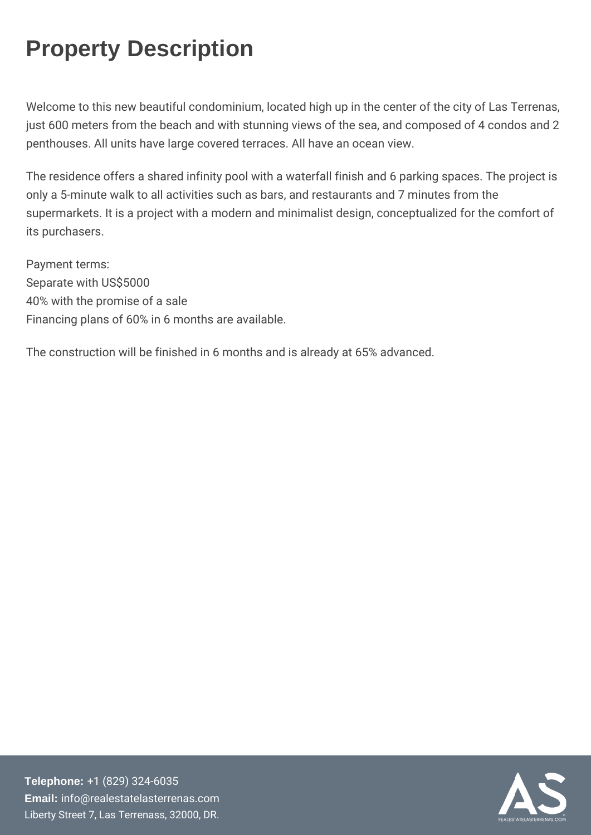## Property Description

Welcome to this new beautiful condominium, located high Tuep riem also just 600 meters from the beach and with stunning views of the sea penthouses. All units have large covered terraces. All have an oce

The residence offers a shared infinity pool with a waterfall finish only a 5-minute walk to all activities such as bars, and restaurant supermarkets. It is a project with a modern and minimalist design, its purchasers.

Payment terms: Separate with US\$5000 40% with the promise of a sale Financing plans of 60% in 6 months are available.

The construction will be finished in 6 months and is already at 65%